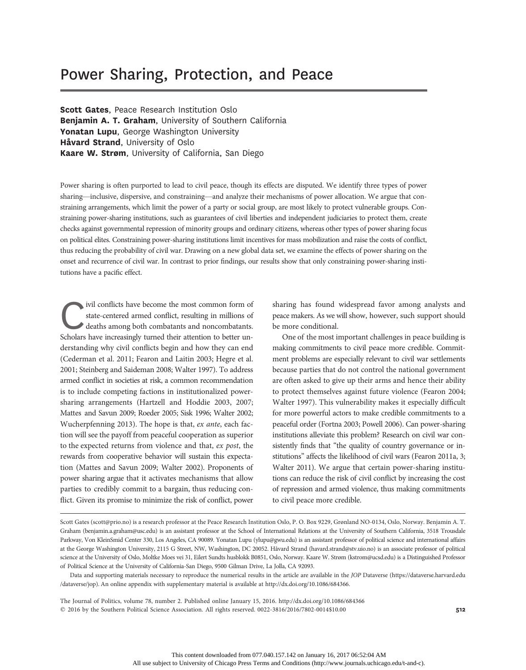# Power Sharing, Protection, and Peace

**Scott Gates.** Peace Research Institution Oslo Benjamin A. T. Graham, University of Southern California Yonatan Lupu, George Washington University Håvard Strand, University of Oslo Kaare W. Strøm, University of California, San Diego

Power sharing is often purported to lead to civil peace, though its effects are disputed. We identify three types of power sharing—inclusive, dispersive, and constraining—and analyze their mechanisms of power allocation. We argue that constraining arrangements, which limit the power of a party or social group, are most likely to protect vulnerable groups. Constraining power-sharing institutions, such as guarantees of civil liberties and independent judiciaries to protect them, create checks against governmental repression of minority groups and ordinary citizens, whereas other types of power sharing focus on political elites. Constraining power-sharing institutions limit incentives for mass mobilization and raise the costs of conflict, thus reducing the probability of civil war. Drawing on a new global data set, we examine the effects of power sharing on the onset and recurrence of civil war. In contrast to prior findings, our results show that only constraining power-sharing institutions have a pacific effect.

I is understanding why civil conflicts have become the most common form of state-centered armed conflict, resulting in millions of deaths among both combatants and noncombatants.<br>Scholars have increasingly turned their att state-centered armed conflict, resulting in millions of deaths among both combatants and noncombatants. Scholars have increasingly turned their attention to better understanding why civil conflicts begin and how they can end (Cederman et al. 2011; Fearon and Laitin 2003; Hegre et al. 2001; Steinberg and Saideman 2008; Walter 1997). To address armed conflict in societies at risk, a common recommendation is to include competing factions in institutionalized powersharing arrangements (Hartzell and Hoddie 2003, 2007; Mattes and Savun 2009; Roeder 2005; Sisk 1996; Walter 2002; Wucherpfenning 2013). The hope is that, ex ante, each faction will see the payoff from peaceful cooperation as superior to the expected returns from violence and that, ex post, the rewards from cooperative behavior will sustain this expectation (Mattes and Savun 2009; Walter 2002). Proponents of power sharing argue that it activates mechanisms that allow parties to credibly commit to a bargain, thus reducing conflict. Given its promise to minimize the risk of conflict, power

sharing has found widespread favor among analysts and peace makers. As we will show, however, such support should be more conditional.

One of the most important challenges in peace building is making commitments to civil peace more credible. Commitment problems are especially relevant to civil war settlements because parties that do not control the national government are often asked to give up their arms and hence their ability to protect themselves against future violence (Fearon 2004; Walter 1997). This vulnerability makes it especially difficult for more powerful actors to make credible commitments to a peaceful order (Fortna 2003; Powell 2006). Can power-sharing institutions alleviate this problem? Research on civil war consistently finds that "the quality of country governance or institutions" affects the likelihood of civil wars (Fearon 2011a, 3; Walter 2011). We argue that certain power-sharing institutions can reduce the risk of civil conflict by increasing the cost of repression and armed violence, thus making commitments to civil peace more credible.

Data and supporting materials necessary to reproduce the numerical results in the article are available in the JOP Dataverse (https://dataverse.harvard.edu /dataverse/jop). An online appendix with supplementary material is available at http://dx.doi.org/10.1086/684366.

The Journal of Politics, volume 78, number 2. Published online January 15, 2016. http://dx.doi.org/10.1086/684366  $@$  2016 by the Southern Political Science Association. All rights reserved. 0022-3816/2016/7802-0014\$10.00  $512$ 

Scott Gates (scott@prio.no) is a research professor at the Peace Research Institution Oslo, P. O. Box 9229, Grønland NO-0134, Oslo, Norway. Benjamin A. T. Graham (benjamin.a.graham@usc.edu) is an assistant professor at the School of International Relations at the University of Southern California, 3518 Trousdale Parkway, Von KleinSmid Center 330, Los Angeles, CA 90089. Yonatan Lupu (ylupu@gwu.edu) is an assistant professor of political science and international affairs at the George Washington University, 2115 G Street, NW, Washington, DC 20052. Håvard Strand (havard.strand@stv.uio.no) is an associate professor of political science at the University of Oslo, Moltke Moes vei 31, Eilert Sundts husblokk B0851, Oslo, Norway. Kaare W. Strøm (kstrom@ucsd.edu) is a Distinguished Professor of Political Science at the University of California-San Diego, 9500 Gilman Drive, La Jolla, CA 92093.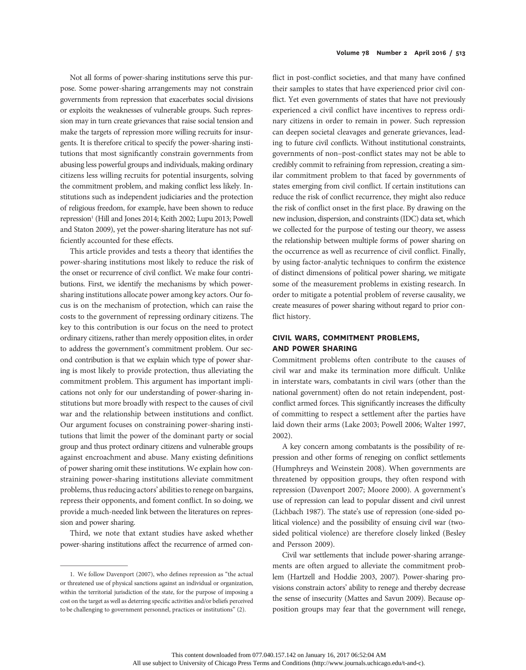Not all forms of power-sharing institutions serve this purpose. Some power-sharing arrangements may not constrain governments from repression that exacerbates social divisions or exploits the weaknesses of vulnerable groups. Such repression may in turn create grievances that raise social tension and make the targets of repression more willing recruits for insurgents. It is therefore critical to specify the power-sharing institutions that most significantly constrain governments from abusing less powerful groups and individuals, making ordinary citizens less willing recruits for potential insurgents, solving the commitment problem, and making conflict less likely. Institutions such as independent judiciaries and the protection of religious freedom, for example, have been shown to reduce repression<sup>1</sup> (Hill and Jones 2014; Keith 2002; Lupu 2013; Powell and Staton 2009), yet the power-sharing literature has not sufficiently accounted for these effects.

This article provides and tests a theory that identifies the power-sharing institutions most likely to reduce the risk of the onset or recurrence of civil conflict. We make four contributions. First, we identify the mechanisms by which powersharing institutions allocate power among key actors. Our focus is on the mechanism of protection, which can raise the costs to the government of repressing ordinary citizens. The key to this contribution is our focus on the need to protect ordinary citizens, rather than merely opposition elites, in order to address the government's commitment problem. Our second contribution is that we explain which type of power sharing is most likely to provide protection, thus alleviating the commitment problem. This argument has important implications not only for our understanding of power-sharing institutions but more broadly with respect to the causes of civil war and the relationship between institutions and conflict. Our argument focuses on constraining power-sharing institutions that limit the power of the dominant party or social group and thus protect ordinary citizens and vulnerable groups against encroachment and abuse. Many existing definitions of power sharing omit these institutions. We explain how constraining power-sharing institutions alleviate commitment problems, thus reducing actors' abilities to renege on bargains, repress their opponents, and foment conflict. In so doing, we provide a much-needed link between the literatures on repression and power sharing.

Third, we note that extant studies have asked whether power-sharing institutions affect the recurrence of armed con-

flict in post-conflict societies, and that many have confined their samples to states that have experienced prior civil conflict. Yet even governments of states that have not previously experienced a civil conflict have incentives to repress ordinary citizens in order to remain in power. Such repression can deepen societal cleavages and generate grievances, leading to future civil conflicts. Without institutional constraints, governments of non–post-conflict states may not be able to credibly commit to refraining from repression, creating a similar commitment problem to that faced by governments of states emerging from civil conflict. If certain institutions can reduce the risk of conflict recurrence, they might also reduce the risk of conflict onset in the first place. By drawing on the new inclusion, dispersion, and constraints (IDC) data set, which we collected for the purpose of testing our theory, we assess the relationship between multiple forms of power sharing on the occurrence as well as recurrence of civil conflict. Finally, by using factor-analytic techniques to confirm the existence of distinct dimensions of political power sharing, we mitigate some of the measurement problems in existing research. In order to mitigate a potential problem of reverse causality, we create measures of power sharing without regard to prior conflict history.

# CIVIL WARS, COMMITMENT PROBLEMS, AND POWER SHARING

Commitment problems often contribute to the causes of civil war and make its termination more difficult. Unlike in interstate wars, combatants in civil wars (other than the national government) often do not retain independent, postconflict armed forces. This significantly increases the difficulty of committing to respect a settlement after the parties have laid down their arms (Lake 2003; Powell 2006; Walter 1997, 2002).

A key concern among combatants is the possibility of repression and other forms of reneging on conflict settlements (Humphreys and Weinstein 2008). When governments are threatened by opposition groups, they often respond with repression (Davenport 2007; Moore 2000). A government's use of repression can lead to popular dissent and civil unrest (Lichbach 1987). The state's use of repression (one-sided political violence) and the possibility of ensuing civil war (twosided political violence) are therefore closely linked (Besley and Persson 2009).

Civil war settlements that include power-sharing arrangements are often argued to alleviate the commitment problem (Hartzell and Hoddie 2003, 2007). Power-sharing provisions constrain actors' ability to renege and thereby decrease the sense of insecurity (Mattes and Savun 2009). Because opposition groups may fear that the government will renege,

<sup>1.</sup> We follow Davenport (2007), who defines repression as "the actual or threatened use of physical sanctions against an individual or organization, within the territorial jurisdiction of the state, for the purpose of imposing a cost on the target as well as deterring specific activities and/or beliefs perceived to be challenging to government personnel, practices or institutions" (2).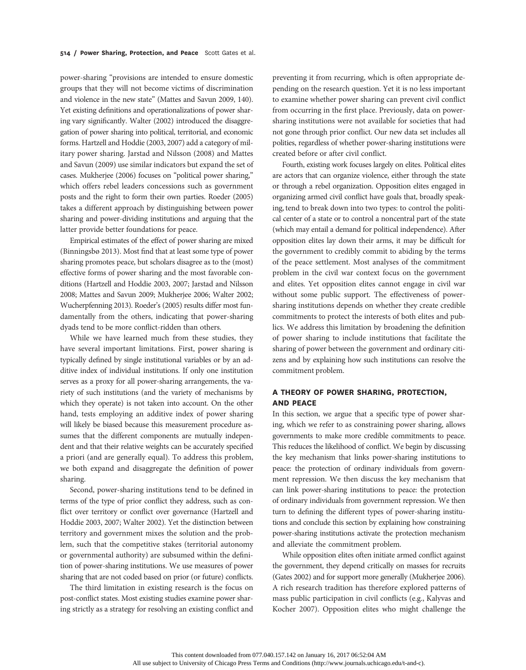power-sharing "provisions are intended to ensure domestic groups that they will not become victims of discrimination and violence in the new state" (Mattes and Savun 2009, 140). Yet existing definitions and operationalizations of power sharing vary significantly. Walter (2002) introduced the disaggregation of power sharing into political, territorial, and economic forms. Hartzell and Hoddie (2003, 2007) add a category of military power sharing. Jarstad and Nilsson (2008) and Mattes and Savun (2009) use similar indicators but expand the set of cases. Mukherjee (2006) focuses on "political power sharing," which offers rebel leaders concessions such as government posts and the right to form their own parties. Roeder (2005) takes a different approach by distinguishing between power sharing and power-dividing institutions and arguing that the latter provide better foundations for peace.

Empirical estimates of the effect of power sharing are mixed (Binningsbø 2013). Most find that at least some type of power sharing promotes peace, but scholars disagree as to the (most) effective forms of power sharing and the most favorable conditions (Hartzell and Hoddie 2003, 2007; Jarstad and Nilsson 2008; Mattes and Savun 2009; Mukherjee 2006; Walter 2002; Wucherpfenning 2013). Roeder's (2005) results differ most fundamentally from the others, indicating that power-sharing dyads tend to be more conflict-ridden than others.

While we have learned much from these studies, they have several important limitations. First, power sharing is typically defined by single institutional variables or by an additive index of individual institutions. If only one institution serves as a proxy for all power-sharing arrangements, the variety of such institutions (and the variety of mechanisms by which they operate) is not taken into account. On the other hand, tests employing an additive index of power sharing will likely be biased because this measurement procedure assumes that the different components are mutually independent and that their relative weights can be accurately specified a priori (and are generally equal). To address this problem, we both expand and disaggregate the definition of power sharing.

Second, power-sharing institutions tend to be defined in terms of the type of prior conflict they address, such as conflict over territory or conflict over governance (Hartzell and Hoddie 2003, 2007; Walter 2002). Yet the distinction between territory and government mixes the solution and the problem, such that the competitive stakes (territorial autonomy or governmental authority) are subsumed within the definition of power-sharing institutions. We use measures of power sharing that are not coded based on prior (or future) conflicts.

The third limitation in existing research is the focus on post-conflict states. Most existing studies examine power sharing strictly as a strategy for resolving an existing conflict and

preventing it from recurring, which is often appropriate depending on the research question. Yet it is no less important to examine whether power sharing can prevent civil conflict from occurring in the first place. Previously, data on powersharing institutions were not available for societies that had not gone through prior conflict. Our new data set includes all polities, regardless of whether power-sharing institutions were created before or after civil conflict.

Fourth, existing work focuses largely on elites. Political elites are actors that can organize violence, either through the state or through a rebel organization. Opposition elites engaged in organizing armed civil conflict have goals that, broadly speaking, tend to break down into two types: to control the political center of a state or to control a noncentral part of the state (which may entail a demand for political independence). After opposition elites lay down their arms, it may be difficult for the government to credibly commit to abiding by the terms of the peace settlement. Most analyses of the commitment problem in the civil war context focus on the government and elites. Yet opposition elites cannot engage in civil war without some public support. The effectiveness of powersharing institutions depends on whether they create credible commitments to protect the interests of both elites and publics. We address this limitation by broadening the definition of power sharing to include institutions that facilitate the sharing of power between the government and ordinary citizens and by explaining how such institutions can resolve the commitment problem.

# A THEORY OF POWER SHARING, PROTECTION, AND PEACE

In this section, we argue that a specific type of power sharing, which we refer to as constraining power sharing, allows governments to make more credible commitments to peace. This reduces the likelihood of conflict. We begin by discussing the key mechanism that links power-sharing institutions to peace: the protection of ordinary individuals from government repression. We then discuss the key mechanism that can link power-sharing institutions to peace: the protection of ordinary individuals from government repression. We then turn to defining the different types of power-sharing institutions and conclude this section by explaining how constraining power-sharing institutions activate the protection mechanism and alleviate the commitment problem.

While opposition elites often initiate armed conflict against the government, they depend critically on masses for recruits (Gates 2002) and for support more generally (Mukherjee 2006). A rich research tradition has therefore explored patterns of mass public participation in civil conflicts (e.g., Kalyvas and Kocher 2007). Opposition elites who might challenge the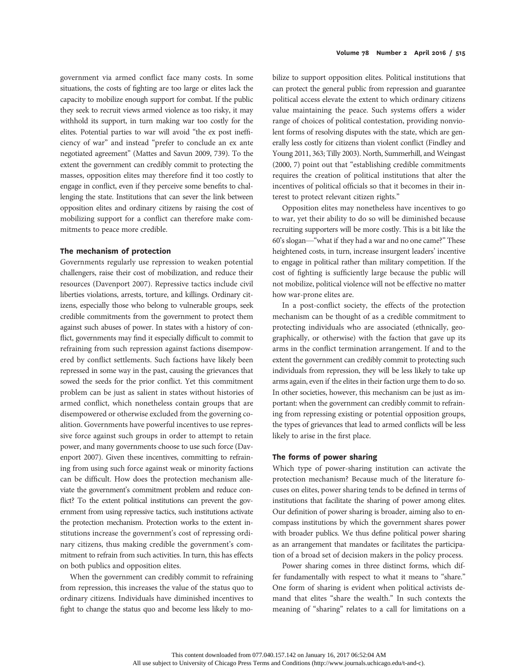government via armed conflict face many costs. In some situations, the costs of fighting are too large or elites lack the capacity to mobilize enough support for combat. If the public they seek to recruit views armed violence as too risky, it may withhold its support, in turn making war too costly for the elites. Potential parties to war will avoid "the ex post inefficiency of war" and instead "prefer to conclude an ex ante negotiated agreement" (Mattes and Savun 2009, 739). To the extent the government can credibly commit to protecting the masses, opposition elites may therefore find it too costly to engage in conflict, even if they perceive some benefits to challenging the state. Institutions that can sever the link between opposition elites and ordinary citizens by raising the cost of mobilizing support for a conflict can therefore make commitments to peace more credible.

# The mechanism of protection

Governments regularly use repression to weaken potential challengers, raise their cost of mobilization, and reduce their resources (Davenport 2007). Repressive tactics include civil liberties violations, arrests, torture, and killings. Ordinary citizens, especially those who belong to vulnerable groups, seek credible commitments from the government to protect them against such abuses of power. In states with a history of conflict, governments may find it especially difficult to commit to refraining from such repression against factions disempowered by conflict settlements. Such factions have likely been repressed in some way in the past, causing the grievances that sowed the seeds for the prior conflict. Yet this commitment problem can be just as salient in states without histories of armed conflict, which nonetheless contain groups that are disempowered or otherwise excluded from the governing coalition. Governments have powerful incentives to use repressive force against such groups in order to attempt to retain power, and many governments choose to use such force (Davenport 2007). Given these incentives, committing to refraining from using such force against weak or minority factions can be difficult. How does the protection mechanism alleviate the government's commitment problem and reduce conflict? To the extent political institutions can prevent the government from using repressive tactics, such institutions activate the protection mechanism. Protection works to the extent institutions increase the government's cost of repressing ordinary citizens, thus making credible the government's commitment to refrain from such activities. In turn, this has effects on both publics and opposition elites.

When the government can credibly commit to refraining from repression, this increases the value of the status quo to ordinary citizens. Individuals have diminished incentives to fight to change the status quo and become less likely to mobilize to support opposition elites. Political institutions that can protect the general public from repression and guarantee political access elevate the extent to which ordinary citizens value maintaining the peace. Such systems offers a wider range of choices of political contestation, providing nonviolent forms of resolving disputes with the state, which are generally less costly for citizens than violent conflict (Findley and Young 2011, 363; Tilly 2003). North, Summerhill, and Weingast (2000, 7) point out that "establishing credible commitments requires the creation of political institutions that alter the incentives of political officials so that it becomes in their interest to protect relevant citizen rights."

Opposition elites may nonetheless have incentives to go to war, yet their ability to do so will be diminished because recruiting supporters will be more costly. This is a bit like the 60's slogan—"what if they had a war and no one came?" These heightened costs, in turn, increase insurgent leaders' incentive to engage in political rather than military competition. If the cost of fighting is sufficiently large because the public will not mobilize, political violence will not be effective no matter how war-prone elites are.

In a post-conflict society, the effects of the protection mechanism can be thought of as a credible commitment to protecting individuals who are associated (ethnically, geographically, or otherwise) with the faction that gave up its arms in the conflict termination arrangement. If and to the extent the government can credibly commit to protecting such individuals from repression, they will be less likely to take up arms again, even if the elites in their faction urge them to do so. In other societies, however, this mechanism can be just as important: when the government can credibly commit to refraining from repressing existing or potential opposition groups, the types of grievances that lead to armed conflicts will be less likely to arise in the first place.

#### The forms of power sharing

Which type of power-sharing institution can activate the protection mechanism? Because much of the literature focuses on elites, power sharing tends to be defined in terms of institutions that facilitate the sharing of power among elites. Our definition of power sharing is broader, aiming also to encompass institutions by which the government shares power with broader publics. We thus define political power sharing as an arrangement that mandates or facilitates the participation of a broad set of decision makers in the policy process.

Power sharing comes in three distinct forms, which differ fundamentally with respect to what it means to "share." One form of sharing is evident when political activists demand that elites "share the wealth." In such contexts the meaning of "sharing" relates to a call for limitations on a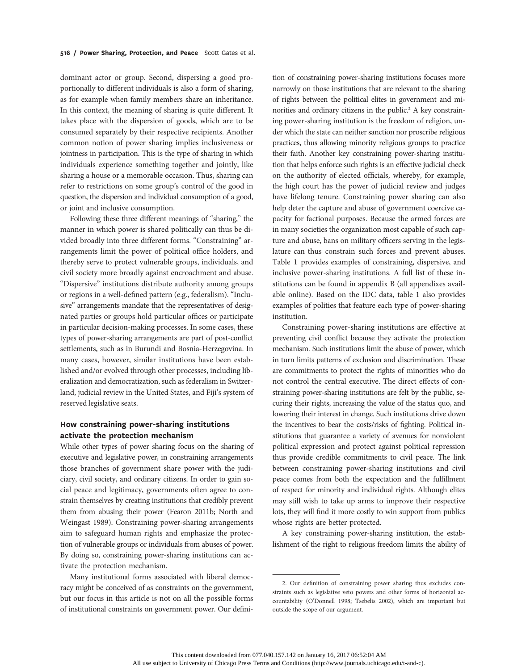dominant actor or group. Second, dispersing a good proportionally to different individuals is also a form of sharing, as for example when family members share an inheritance. In this context, the meaning of sharing is quite different. It takes place with the dispersion of goods, which are to be consumed separately by their respective recipients. Another common notion of power sharing implies inclusiveness or jointness in participation. This is the type of sharing in which individuals experience something together and jointly, like sharing a house or a memorable occasion. Thus, sharing can refer to restrictions on some group's control of the good in question, the dispersion and individual consumption of a good, or joint and inclusive consumption.

Following these three different meanings of "sharing," the manner in which power is shared politically can thus be divided broadly into three different forms. "Constraining" arrangements limit the power of political office holders, and thereby serve to protect vulnerable groups, individuals, and civil society more broadly against encroachment and abuse. "Dispersive" institutions distribute authority among groups or regions in a well-defined pattern (e.g., federalism). "Inclusive" arrangements mandate that the representatives of designated parties or groups hold particular offices or participate in particular decision-making processes. In some cases, these types of power-sharing arrangements are part of post-conflict settlements, such as in Burundi and Bosnia-Herzegovina. In many cases, however, similar institutions have been established and/or evolved through other processes, including liberalization and democratization, such as federalism in Switzerland, judicial review in the United States, and Fiji's system of reserved legislative seats.

# How constraining power-sharing institutions activate the protection mechanism

While other types of power sharing focus on the sharing of executive and legislative power, in constraining arrangements those branches of government share power with the judiciary, civil society, and ordinary citizens. In order to gain social peace and legitimacy, governments often agree to constrain themselves by creating institutions that credibly prevent them from abusing their power (Fearon 2011b; North and Weingast 1989). Constraining power-sharing arrangements aim to safeguard human rights and emphasize the protection of vulnerable groups or individuals from abuses of power. By doing so, constraining power-sharing institutions can activate the protection mechanism.

Many institutional forms associated with liberal democracy might be conceived of as constraints on the government, but our focus in this article is not on all the possible forms of institutional constraints on government power. Our defini-

tion of constraining power-sharing institutions focuses more narrowly on those institutions that are relevant to the sharing of rights between the political elites in government and minorities and ordinary citizens in the public.<sup>2</sup> A key constraining power-sharing institution is the freedom of religion, under which the state can neither sanction nor proscribe religious practices, thus allowing minority religious groups to practice their faith. Another key constraining power-sharing institution that helps enforce such rights is an effective judicial check on the authority of elected officials, whereby, for example, the high court has the power of judicial review and judges have lifelong tenure. Constraining power sharing can also help deter the capture and abuse of government coercive capacity for factional purposes. Because the armed forces are in many societies the organization most capable of such capture and abuse, bans on military officers serving in the legislature can thus constrain such forces and prevent abuses. Table 1 provides examples of constraining, dispersive, and inclusive power-sharing institutions. A full list of these institutions can be found in appendix B (all appendixes available online). Based on the IDC data, table 1 also provides examples of polities that feature each type of power-sharing institution.

Constraining power-sharing institutions are effective at preventing civil conflict because they activate the protection mechanism. Such institutions limit the abuse of power, which in turn limits patterns of exclusion and discrimination. These are commitments to protect the rights of minorities who do not control the central executive. The direct effects of constraining power-sharing institutions are felt by the public, securing their rights, increasing the value of the status quo, and lowering their interest in change. Such institutions drive down the incentives to bear the costs/risks of fighting. Political institutions that guarantee a variety of avenues for nonviolent political expression and protect against political repression thus provide credible commitments to civil peace. The link between constraining power-sharing institutions and civil peace comes from both the expectation and the fulfillment of respect for minority and individual rights. Although elites may still wish to take up arms to improve their respective lots, they will find it more costly to win support from publics whose rights are better protected.

A key constraining power-sharing institution, the establishment of the right to religious freedom limits the ability of

<sup>2.</sup> Our definition of constraining power sharing thus excludes constraints such as legislative veto powers and other forms of horizontal accountability (O'Donnell 1998; Tsebelis 2002), which are important but outside the scope of our argument.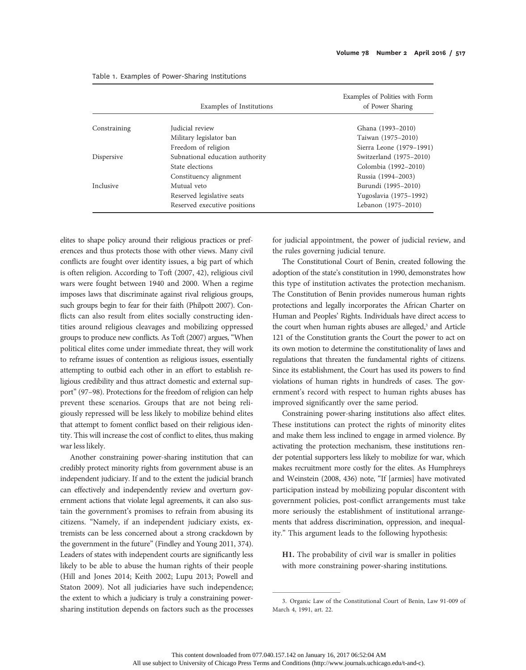|              | Examples of Institutions        | Examples of Polities with Form<br>of Power Sharing |
|--------------|---------------------------------|----------------------------------------------------|
| Constraining | Judicial review                 | Ghana (1993–2010)                                  |
|              | Military legislator ban         | Taiwan (1975-2010)                                 |
|              | Freedom of religion             | Sierra Leone (1979–1991)                           |
| Dispersive   | Subnational education authority | Switzerland (1975–2010)                            |
|              | State elections                 | Colombia (1992-2010)                               |
|              | Constituency alignment          | Russia (1994–2003)                                 |
| Inclusive    | Mutual veto                     | Burundi (1995-2010)                                |
|              | Reserved legislative seats      | Yugoslavia (1975-1992)                             |
|              | Reserved executive positions    | Lebanon (1975-2010)                                |

Table 1. Examples of Power-Sharing Institutions

elites to shape policy around their religious practices or preferences and thus protects those with other views. Many civil conflicts are fought over identity issues, a big part of which is often religion. According to Toft (2007, 42), religious civil wars were fought between 1940 and 2000. When a regime imposes laws that discriminate against rival religious groups, such groups begin to fear for their faith (Philpott 2007). Conflicts can also result from elites socially constructing identities around religious cleavages and mobilizing oppressed groups to produce new conflicts. As Toft (2007) argues, "When political elites come under immediate threat, they will work to reframe issues of contention as religious issues, essentially attempting to outbid each other in an effort to establish religious credibility and thus attract domestic and external support" (97–98). Protections for the freedom of religion can help prevent these scenarios. Groups that are not being religiously repressed will be less likely to mobilize behind elites that attempt to foment conflict based on their religious identity. This will increase the cost of conflict to elites, thus making war less likely.

Another constraining power-sharing institution that can credibly protect minority rights from government abuse is an independent judiciary. If and to the extent the judicial branch can effectively and independently review and overturn government actions that violate legal agreements, it can also sustain the government's promises to refrain from abusing its citizens. "Namely, if an independent judiciary exists, extremists can be less concerned about a strong crackdown by the government in the future" (Findley and Young 2011, 374). Leaders of states with independent courts are significantly less likely to be able to abuse the human rights of their people (Hill and Jones 2014; Keith 2002; Lupu 2013; Powell and Staton 2009). Not all judiciaries have such independence; the extent to which a judiciary is truly a constraining powersharing institution depends on factors such as the processes

for judicial appointment, the power of judicial review, and the rules governing judicial tenure.

The Constitutional Court of Benin, created following the adoption of the state's constitution in 1990, demonstrates how this type of institution activates the protection mechanism. The Constitution of Benin provides numerous human rights protections and legally incorporates the African Charter on Human and Peoples' Rights. Individuals have direct access to the court when human rights abuses are alleged,<sup>3</sup> and Article 121 of the Constitution grants the Court the power to act on its own motion to determine the constitutionality of laws and regulations that threaten the fundamental rights of citizens. Since its establishment, the Court has used its powers to find violations of human rights in hundreds of cases. The government's record with respect to human rights abuses has improved significantly over the same period.

Constraining power-sharing institutions also affect elites. These institutions can protect the rights of minority elites and make them less inclined to engage in armed violence. By activating the protection mechanism, these institutions render potential supporters less likely to mobilize for war, which makes recruitment more costly for the elites. As Humphreys and Weinstein (2008, 436) note, "If [armies] have motivated participation instead by mobilizing popular discontent with government policies, post-conflict arrangements must take more seriously the establishment of institutional arrangements that address discrimination, oppression, and inequality." This argument leads to the following hypothesis:

H1. The probability of civil war is smaller in polities with more constraining power-sharing institutions.

<sup>3.</sup> Organic Law of the Constitutional Court of Benin, Law 91-009 of March 4, 1991, art. 22.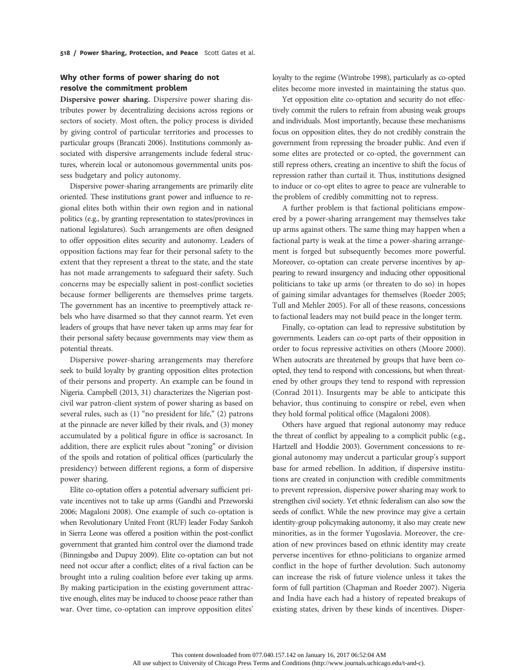# Why other forms of power sharing do not resolve the commitment problem

Dispersive power sharing. Dispersive power sharing distributes power by decentralizing decisions across regions or sectors of society. Most often, the policy process is divided by giving control of particular territories and processes to particular groups (Brancati 2006). Institutions commonly associated with dispersive arrangements include federal structures, wherein local or autonomous governmental units possess budgetary and policy autonomy.

Dispersive power-sharing arrangements are primarily elite oriented. These institutions grant power and influence to regional elites both within their own region and in national politics (e.g., by granting representation to states/provinces in national legislatures). Such arrangements are often designed to offer opposition elites security and autonomy. Leaders of opposition factions may fear for their personal safety to the extent that they represent a threat to the state, and the state has not made arrangements to safeguard their safety. Such concerns may be especially salient in post-conflict societies because former belligerents are themselves prime targets. The government has an incentive to preemptively attack rebels who have disarmed so that they cannot rearm. Yet even leaders of groups that have never taken up arms may fear for their personal safety because governments may view them as potential threats.

Dispersive power-sharing arrangements may therefore seek to build loyalty by granting opposition elites protection of their persons and property. An example can be found in Nigeria. Campbell (2013, 31) characterizes the Nigerian postcivil war patron-client system of power sharing as based on several rules, such as (1) "no president for life," (2) patrons at the pinnacle are never killed by their rivals, and (3) money accumulated by a political figure in office is sacrosanct. In addition, there are explicit rules about "zoning" or division of the spoils and rotation of political offices (particularly the presidency) between different regions, a form of dispersive power sharing.

Elite co-optation offers a potential adversary sufficient private incentives not to take up arms (Gandhi and Przeworski 2006; Magaloni 2008). One example of such co-optation is when Revolutionary United Front (RUF) leader Foday Sankoh in Sierra Leone was offered a position within the post-conflict government that granted him control over the diamond trade (Binningsbø and Dupuy 2009). Elite co-optation can but not need not occur after a conflict; elites of a rival faction can be brought into a ruling coalition before ever taking up arms. By making participation in the existing government attractive enough, elites may be induced to choose peace rather than war. Over time, co-optation can improve opposition elites'

loyalty to the regime (Wintrobe 1998), particularly as co-opted elites become more invested in maintaining the status quo.

Yet opposition elite co-optation and security do not effectively commit the rulers to refrain from abusing weak groups and individuals. Most importantly, because these mechanisms focus on opposition elites, they do not credibly constrain the government from repressing the broader public. And even if some elites are protected or co-opted, the government can still repress others, creating an incentive to shift the focus of repression rather than curtail it. Thus, institutions designed to induce or co-opt elites to agree to peace are vulnerable to the problem of credibly committing not to repress.

A further problem is that factional politicians empowered by a power-sharing arrangement may themselves take up arms against others. The same thing may happen when a factional party is weak at the time a power-sharing arrangement is forged but subsequently becomes more powerful. Moreover, co-optation can create perverse incentives by appearing to reward insurgency and inducing other oppositional politicians to take up arms (or threaten to do so) in hopes of gaining similar advantages for themselves (Roeder 2005; Tull and Mehler 2005). For all of these reasons, concessions to factional leaders may not build peace in the longer term.

Finally, co-optation can lead to repressive substitution by governments. Leaders can co-opt parts of their opposition in order to focus repressive activities on others (Moore 2000). When autocrats are threatened by groups that have been coopted, they tend to respond with concessions, but when threatened by other groups they tend to respond with repression (Conrad 2011). Insurgents may be able to anticipate this behavior, thus continuing to conspire or rebel, even when they hold formal political office (Magaloni 2008).

Others have argued that regional autonomy may reduce the threat of conflict by appealing to a complicit public (e.g., Hartzell and Hoddie 2003). Government concessions to regional autonomy may undercut a particular group's support base for armed rebellion. In addition, if dispersive institutions are created in conjunction with credible commitments to prevent repression, dispersive power sharing may work to strengthen civil society. Yet ethnic federalism can also sow the seeds of conflict. While the new province may give a certain identity-group policymaking autonomy, it also may create new minorities, as in the former Yugoslavia. Moreover, the creation of new provinces based on ethnic identity may create perverse incentives for ethno-politicians to organize armed conflict in the hope of further devolution. Such autonomy can increase the risk of future violence unless it takes the form of full partition (Chapman and Roeder 2007). Nigeria and India have each had a history of repeated breakups of existing states, driven by these kinds of incentives. Disper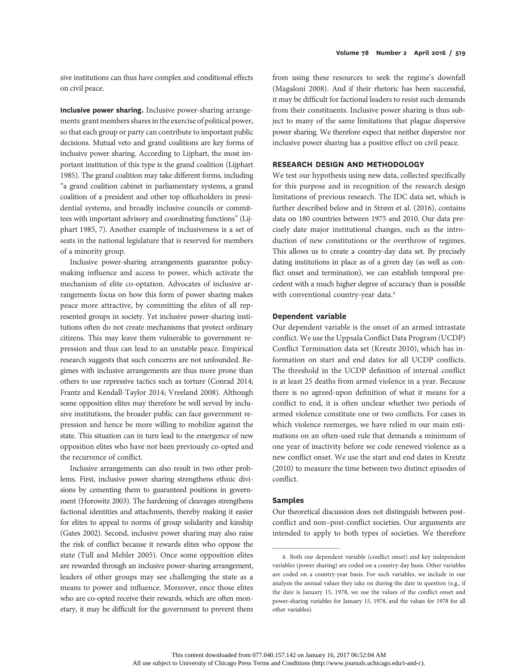sive institutions can thus have complex and conditional effects on civil peace.

Inclusive power sharing. Inclusive power-sharing arrangements grant members shares in the exercise of political power, so that each group or party can contribute to important public decisions. Mutual veto and grand coalitions are key forms of inclusive power sharing. According to Lijphart, the most important institution of this type is the grand coalition (Lijphart 1985). The grand coalition may take different forms, including "a grand coalition cabinet in parliamentary systems, a grand coalition of a president and other top officeholders in presidential systems, and broadly inclusive councils or committees with important advisory and coordinating functions" (Lijphart 1985, 7). Another example of inclusiveness is a set of seats in the national legislature that is reserved for members of a minority group.

Inclusive power-sharing arrangements guarantee policymaking influence and access to power, which activate the mechanism of elite co-optation. Advocates of inclusive arrangements focus on how this form of power sharing makes peace more attractive, by committing the elites of all represented groups in society. Yet inclusive power-sharing institutions often do not create mechanisms that protect ordinary citizens. This may leave them vulnerable to government repression and thus can lead to an unstable peace. Empirical research suggests that such concerns are not unfounded. Regimes with inclusive arrangements are thus more prone than others to use repressive tactics such as torture (Conrad 2014; Frantz and Kendall-Taylor 2014; Vreeland 2008). Although some opposition elites may therefore be well served by inclusive institutions, the broader public can face government repression and hence be more willing to mobilize against the state. This situation can in turn lead to the emergence of new opposition elites who have not been previously co-opted and the recurrence of conflict.

Inclusive arrangements can also result in two other problems. First, inclusive power sharing strengthens ethnic divisions by cementing them to guaranteed positions in government (Horowitz 2003). The hardening of cleavages strengthens factional identities and attachments, thereby making it easier for elites to appeal to norms of group solidarity and kinship (Gates 2002). Second, inclusive power sharing may also raise the risk of conflict because it rewards elites who oppose the state (Tull and Mehler 2005). Once some opposition elites are rewarded through an inclusive power-sharing arrangement, leaders of other groups may see challenging the state as a means to power and influence. Moreover, once those elites who are co-opted receive their rewards, which are often monetary, it may be difficult for the government to prevent them

from using these resources to seek the regime's downfall (Magaloni 2008). And if their rhetoric has been successful, it may be difficult for factional leaders to resist such demands from their constituents. Inclusive power sharing is thus subject to many of the same limitations that plague dispersive power sharing. We therefore expect that neither dispersive nor inclusive power sharing has a positive effect on civil peace.

## RESEARCH DESIGN AND METHODOLOGY

We test our hypothesis using new data, collected specifically for this purpose and in recognition of the research design limitations of previous research. The IDC data set, which is further described below and in Strøm et al. (2016), contains data on 180 countries between 1975 and 2010. Our data precisely date major institutional changes, such as the introduction of new constitutions or the overthrow of regimes. This allows us to create a country-day data set. By precisely dating institutions in place as of a given day (as well as conflict onset and termination), we can establish temporal precedent with a much higher degree of accuracy than is possible with conventional country-year data.<sup>4</sup>

## Dependent variable

Our dependent variable is the onset of an armed intrastate conflict. We use the Uppsala Conflict Data Program (UCDP) Conflict Termination data set (Kreutz 2010), which has information on start and end dates for all UCDP conflicts. The threshold in the UCDP definition of internal conflict is at least 25 deaths from armed violence in a year. Because there is no agreed-upon definition of what it means for a conflict to end, it is often unclear whether two periods of armed violence constitute one or two conflicts. For cases in which violence reemerges, we have relied in our main estimations on an often-used rule that demands a minimum of one year of inactivity before we code renewed violence as a new conflict onset. We use the start and end dates in Kreutz (2010) to measure the time between two distinct episodes of conflict.

# Samples

Our theoretical discussion does not distinguish between postconflict and non–post-conflict societies. Our arguments are intended to apply to both types of societies. We therefore

<sup>4.</sup> Both our dependent variable (conflict onset) and key independent variables (power sharing) are coded on a country-day basis. Other variables are coded on a country-year basis. For such variables, we include in our analysis the annual values they take on during the date in question (e.g., if the date is January 15, 1978, we use the values of the conflict onset and power-sharing variables for January 15, 1978, and the values for 1978 for all other variables).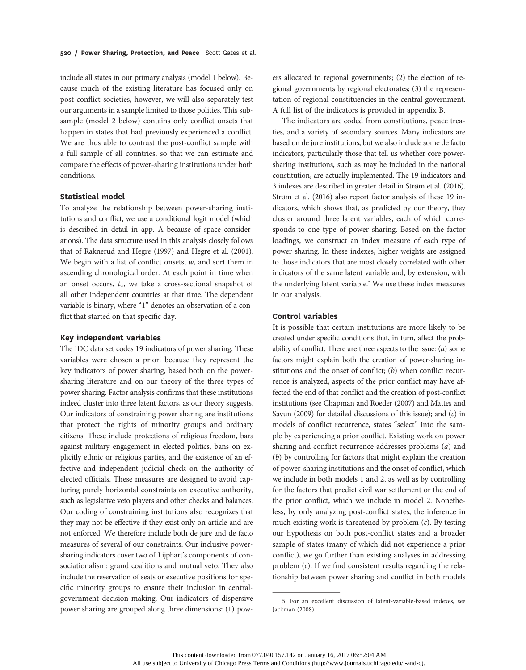include all states in our primary analysis (model 1 below). Because much of the existing literature has focused only on post-conflict societies, however, we will also separately test our arguments in a sample limited to those polities. This subsample (model 2 below) contains only conflict onsets that happen in states that had previously experienced a conflict. We are thus able to contrast the post-conflict sample with a full sample of all countries, so that we can estimate and compare the effects of power-sharing institutions under both conditions.

# Statistical model

To analyze the relationship between power-sharing institutions and conflict, we use a conditional logit model (which is described in detail in app. A because of space considerations). The data structure used in this analysis closely follows that of Raknerud and Hegre (1997) and Hegre et al. (2001). We begin with a list of conflict onsets,  $w$ , and sort them in ascending chronological order. At each point in time when an onset occurs,  $t_w$ , we take a cross-sectional snapshot of all other independent countries at that time. The dependent variable is binary, where "1" denotes an observation of a conflict that started on that specific day.

### Key independent variables

The IDC data set codes 19 indicators of power sharing. These variables were chosen a priori because they represent the key indicators of power sharing, based both on the powersharing literature and on our theory of the three types of power sharing. Factor analysis confirms that these institutions indeed cluster into three latent factors, as our theory suggests. Our indicators of constraining power sharing are institutions that protect the rights of minority groups and ordinary citizens. These include protections of religious freedom, bars against military engagement in elected politics, bans on explicitly ethnic or religious parties, and the existence of an effective and independent judicial check on the authority of elected officials. These measures are designed to avoid capturing purely horizontal constraints on executive authority, such as legislative veto players and other checks and balances. Our coding of constraining institutions also recognizes that they may not be effective if they exist only on article and are not enforced. We therefore include both de jure and de facto measures of several of our constraints. Our inclusive powersharing indicators cover two of Lijphart's components of consociationalism: grand coalitions and mutual veto. They also include the reservation of seats or executive positions for specific minority groups to ensure their inclusion in centralgovernment decision-making. Our indicators of dispersive power sharing are grouped along three dimensions: (1) pow-

ers allocated to regional governments; (2) the election of regional governments by regional electorates; (3) the representation of regional constituencies in the central government. A full list of the indicators is provided in appendix B.

The indicators are coded from constitutions, peace treaties, and a variety of secondary sources. Many indicators are based on de jure institutions, but we also include some de facto indicators, particularly those that tell us whether core powersharing institutions, such as may be included in the national constitution, are actually implemented. The 19 indicators and 3 indexes are described in greater detail in Strøm et al. (2016). Strøm et al. (2016) also report factor analysis of these 19 indicators, which shows that, as predicted by our theory, they cluster around three latent variables, each of which corresponds to one type of power sharing. Based on the factor loadings, we construct an index measure of each type of power sharing. In these indexes, higher weights are assigned to those indicators that are most closely correlated with other indicators of the same latent variable and, by extension, with the underlying latent variable.<sup>5</sup> We use these index measures in our analysis.

# Control variables

It is possible that certain institutions are more likely to be created under specific conditions that, in turn, affect the probability of conflict. There are three aspects to the issue:  $(a)$  some factors might explain both the creation of power-sharing institutions and the onset of conflict; (b) when conflict recurrence is analyzed, aspects of the prior conflict may have affected the end of that conflict and the creation of post-conflict institutions (see Chapman and Roeder (2007) and Mattes and Savun (2009) for detailed discussions of this issue); and  $(c)$  in models of conflict recurrence, states "select" into the sample by experiencing a prior conflict. Existing work on power sharing and conflict recurrence addresses problems (a) and (b) by controlling for factors that might explain the creation of power-sharing institutions and the onset of conflict, which we include in both models 1 and 2, as well as by controlling for the factors that predict civil war settlement or the end of the prior conflict, which we include in model 2. Nonetheless, by only analyzing post-conflict states, the inference in much existing work is threatened by problem  $(c)$ . By testing our hypothesis on both post-conflict states and a broader sample of states (many of which did not experience a prior conflict), we go further than existing analyses in addressing problem (c). If we find consistent results regarding the relationship between power sharing and conflict in both models

<sup>5.</sup> For an excellent discussion of latent-variable-based indexes, see Jackman (2008).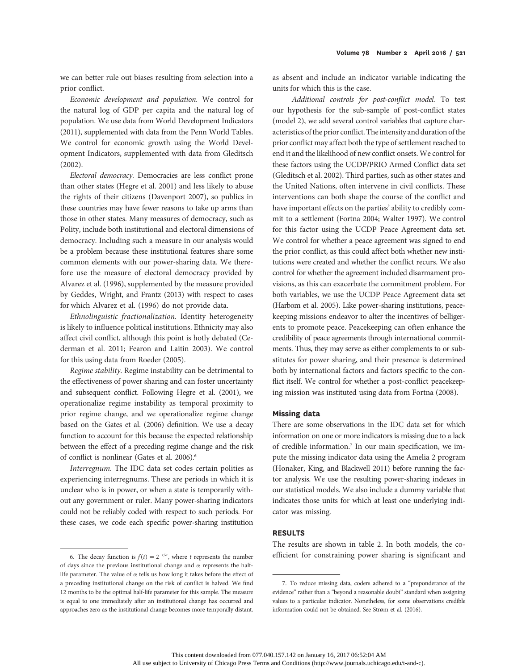we can better rule out biases resulting from selection into a prior conflict.

Economic development and population. We control for the natural log of GDP per capita and the natural log of population. We use data from World Development Indicators (2011), supplemented with data from the Penn World Tables. We control for economic growth using the World Development Indicators, supplemented with data from Gleditsch (2002).

Electoral democracy. Democracies are less conflict prone than other states (Hegre et al. 2001) and less likely to abuse the rights of their citizens (Davenport 2007), so publics in these countries may have fewer reasons to take up arms than those in other states. Many measures of democracy, such as Polity, include both institutional and electoral dimensions of democracy. Including such a measure in our analysis would be a problem because these institutional features share some common elements with our power-sharing data. We therefore use the measure of electoral democracy provided by Alvarez et al. (1996), supplemented by the measure provided by Geddes, Wright, and Frantz (2013) with respect to cases for which Alvarez et al. (1996) do not provide data.

Ethnolinguistic fractionalization. Identity heterogeneity is likely to influence political institutions. Ethnicity may also affect civil conflict, although this point is hotly debated (Cederman et al. 2011; Fearon and Laitin 2003). We control for this using data from Roeder (2005).

Regime stability. Regime instability can be detrimental to the effectiveness of power sharing and can foster uncertainty and subsequent conflict. Following Hegre et al. (2001), we operationalize regime instability as temporal proximity to prior regime change, and we operationalize regime change based on the Gates et al. (2006) definition. We use a decay function to account for this because the expected relationship between the effect of a preceding regime change and the risk of conflict is nonlinear (Gates et al. 2006).<sup>6</sup>

Interregnum. The IDC data set codes certain polities as experiencing interregnums. These are periods in which it is unclear who is in power, or when a state is temporarily without any government or ruler. Many power-sharing indicators could not be reliably coded with respect to such periods. For these cases, we code each specific power-sharing institution

of days since the previous institutional change and  $\alpha$  represents the halflife parameter. The value of  $\alpha$  tells us how long it takes before the effect of a preceding institutional change on the risk of conflict is halved. We find 12 months to be the optimal half-life parameter for this sample. The measure is equal to one immediately after an institutional change has occurred and approaches zero as the institutional change becomes more temporally distant.

as absent and include an indicator variable indicating the units for which this is the case.

Additional controls for post-conflict model. To test our hypothesis for the sub-sample of post-conflict states (model 2), we add several control variables that capture characteristics of the prior conflict. The intensity and duration of the prior conflict may affect both the type of settlement reached to end it and the likelihood of new conflict onsets. We control for these factors using the UCDP/PRIO Armed Conflict data set (Gleditsch et al. 2002). Third parties, such as other states and the United Nations, often intervene in civil conflicts. These interventions can both shape the course of the conflict and have important effects on the parties' ability to credibly commit to a settlement (Fortna 2004; Walter 1997). We control for this factor using the UCDP Peace Agreement data set. We control for whether a peace agreement was signed to end the prior conflict, as this could affect both whether new institutions were created and whether the conflict recurs. We also control for whether the agreement included disarmament provisions, as this can exacerbate the commitment problem. For both variables, we use the UCDP Peace Agreement data set (Harbom et al. 2005). Like power-sharing institutions, peacekeeping missions endeavor to alter the incentives of belligerents to promote peace. Peacekeeping can often enhance the credibility of peace agreements through international commitments. Thus, they may serve as either complements to or substitutes for power sharing, and their presence is determined both by international factors and factors specific to the conflict itself. We control for whether a post-conflict peacekeeping mission was instituted using data from Fortna (2008).

#### Missing data

There are some observations in the IDC data set for which information on one or more indicators is missing due to a lack of credible information.7 In our main specification, we impute the missing indicator data using the Amelia 2 program (Honaker, King, and Blackwell 2011) before running the factor analysis. We use the resulting power-sharing indexes in our statistical models. We also include a dummy variable that indicates those units for which at least one underlying indicator was missing.

# RESULTS

The results are shown in table 2. In both models, the co-6. The decay function is  $f(t) = 2^{-t/\alpha}$ , where t represents the number efficient for constraining power sharing is significant and

<sup>7.</sup> To reduce missing data, coders adhered to a "preponderance of the evidence" rather than a "beyond a reasonable doubt" standard when assigning values to a particular indicator. Nonetheless, for some observations credible information could not be obtained. See Strøm et al. (2016).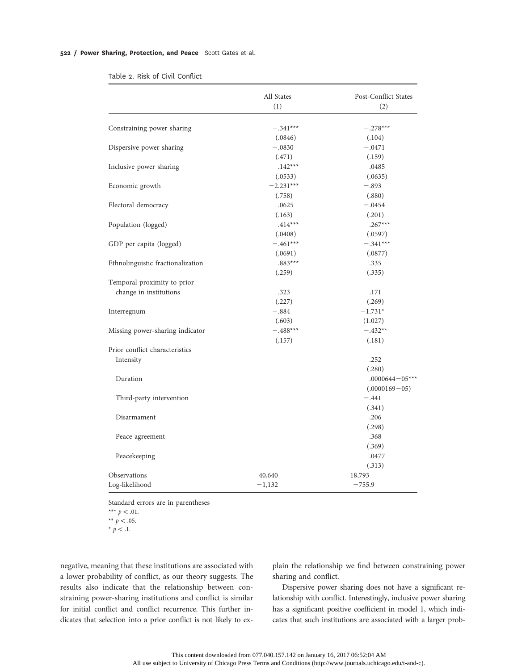#### 522 / Power Sharing, Protection, and Peace Scott Gates et al.

Table 2. Risk of Civil Conflict

|                                   | All States  | <b>Post-Conflict States</b> |
|-----------------------------------|-------------|-----------------------------|
|                                   | (1)         | (2)                         |
|                                   |             |                             |
| Constraining power sharing        | $-.341***$  | $-.278***$                  |
|                                   | (.0846)     | (.104)                      |
| Dispersive power sharing          | $-.0830$    | $-.0471$                    |
|                                   | (.471)      | (.159)                      |
| Inclusive power sharing           | $.142***$   | .0485                       |
|                                   | (.0533)     | (.0635)                     |
| Economic growth                   | $-2.231***$ | $-.893$                     |
|                                   | (.758)      | (.880)                      |
| Electoral democracy               | .0625       | $-.0454$                    |
|                                   | (.163)      | (.201)                      |
| Population (logged)               | $.414***$   | $.267***$                   |
|                                   | (.0408)     | (.0597)                     |
| GDP per capita (logged)           | $-.461***$  | $-.341***$                  |
|                                   | (.0691)     | (.0877)                     |
| Ethnolinguistic fractionalization | $.883***$   | .335                        |
|                                   | (.259)      | (.335)                      |
| Temporal proximity to prior       |             |                             |
| change in institutions            | .323        | .171                        |
|                                   | (.227)      | (.269)                      |
| Interregnum                       | $-.884$     | $-1.731*$                   |
|                                   | (.603)      | (1.027)                     |
| Missing power-sharing indicator   | $-.488***$  | $-.432**$                   |
|                                   | (.157)      | (.181)                      |
| Prior conflict characteristics    |             |                             |
| Intensity                         |             | .252                        |
|                                   |             | (.280)                      |
| Duration                          |             | $.0000644 - 05***$          |
|                                   |             | $(.0000169 - 05)$           |
| Third-party intervention          |             | $-.441$                     |
|                                   |             | (.341)                      |
| Disarmament                       |             | .206                        |
|                                   |             | (.298)                      |
|                                   |             |                             |
| Peace agreement                   |             | .368                        |
|                                   |             | (.369)                      |
| Peacekeeping                      |             | .0477                       |
|                                   |             | (.313)                      |
| <b>Observations</b>               | 40,640      | 18,793                      |
| Log-likelihood                    | $-1,132$    | $-755.9$                    |

Standard errors are in parentheses \*\*\*  $p < .01$ . \*\*  $p < .05$ .

\*  $p < .1$ .

negative, meaning that these institutions are associated with a lower probability of conflict, as our theory suggests. The results also indicate that the relationship between constraining power-sharing institutions and conflict is similar for initial conflict and conflict recurrence. This further indicates that selection into a prior conflict is not likely to explain the relationship we find between constraining power sharing and conflict.

Dispersive power sharing does not have a significant relationship with conflict. Interestingly, inclusive power sharing has a significant positive coefficient in model 1, which indicates that such institutions are associated with a larger prob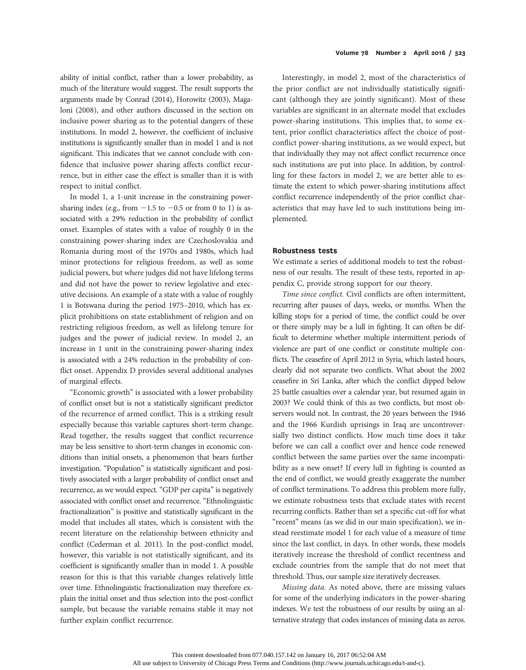ability of initial conflict, rather than a lower probability, as much of the literature would suggest. The result supports the arguments made by Conrad (2014), Horowitz (2003), Magaloni (2008), and other authors discussed in the section on inclusive power sharing as to the potential dangers of these institutions. In model 2, however, the coefficient of inclusive institutions is significantly smaller than in model 1 and is not significant. This indicates that we cannot conclude with confidence that inclusive power sharing affects conflict recurrence, but in either case the effect is smaller than it is with respect to initial conflict.

In model 1, a 1-unit increase in the constraining powersharing index (e.g., from  $-1.5$  to  $-0.5$  or from 0 to 1) is associated with a 29% reduction in the probability of conflict onset. Examples of states with a value of roughly 0 in the constraining power-sharing index are Czechoslovakia and Romania during most of the 1970s and 1980s, which had minor protections for religious freedom, as well as some judicial powers, but where judges did not have lifelong terms and did not have the power to review legislative and executive decisions. An example of a state with a value of roughly 1 is Botswana during the period 1975–2010, which has explicit prohibitions on state establishment of religion and on restricting religious freedom, as well as lifelong tenure for judges and the power of judicial review. In model 2, an increase in 1 unit in the constraining power-sharing index is associated with a 24% reduction in the probability of conflict onset. Appendix D provides several additional analyses of marginal effects.

"Economic growth" is associated with a lower probability of conflict onset but is not a statistically significant predictor of the recurrence of armed conflict. This is a striking result especially because this variable captures short-term change. Read together, the results suggest that conflict recurrence may be less sensitive to short-term changes in economic conditions than initial onsets, a phenomenon that bears further investigation. "Population" is statistically significant and positively associated with a larger probability of conflict onset and recurrence, as we would expect. "GDP per capita" is negatively associated with conflict onset and recurrence. "Ethnolinguistic fractionalization" is positive and statistically significant in the model that includes all states, which is consistent with the recent literature on the relationship between ethnicity and conflict (Cederman et al. 2011). In the post-conflict model, however, this variable is not statistically significant, and its coefficient is significantly smaller than in model 1. A possible reason for this is that this variable changes relatively little over time. Ethnolinguistic fractionalization may therefore explain the initial onset and thus selection into the post-conflict sample, but because the variable remains stable it may not further explain conflict recurrence.

Interestingly, in model 2, most of the characteristics of the prior conflict are not individually statistically significant (although they are jointly significant). Most of these variables are significant in an alternate model that excludes power-sharing institutions. This implies that, to some extent, prior conflict characteristics affect the choice of postconflict power-sharing institutions, as we would expect, but that individually they may not affect conflict recurrence once such institutions are put into place. In addition, by controlling for these factors in model 2, we are better able to estimate the extent to which power-sharing institutions affect conflict recurrence independently of the prior conflict characteristics that may have led to such institutions being implemented.

## Robustness tests

We estimate a series of additional models to test the robustness of our results. The result of these tests, reported in appendix C, provide strong support for our theory.

Time since conflict. Civil conflicts are often intermittent, recurring after pauses of days, weeks, or months. When the killing stops for a period of time, the conflict could be over or there simply may be a lull in fighting. It can often be difficult to determine whether multiple intermittent periods of violence are part of one conflict or constitute multiple conflicts. The ceasefire of April 2012 in Syria, which lasted hours, clearly did not separate two conflicts. What about the 2002 ceasefire in Sri Lanka, after which the conflict dipped below 25 battle casualties over a calendar year, but resumed again in 2003? We could think of this as two conflicts, but most observers would not. In contrast, the 20 years between the 1946 and the 1966 Kurdish uprisings in Iraq are uncontroversially two distinct conflicts. How much time does it take before we can call a conflict over and hence code renewed conflict between the same parties over the same incompatibility as a new onset? If every lull in fighting is counted as the end of conflict, we would greatly exaggerate the number of conflict terminations. To address this problem more fully, we estimate robustness tests that exclude states with recent recurring conflicts. Rather than set a specific cut-off for what "recent" means (as we did in our main specification), we instead reestimate model 1 for each value of a measure of time since the last conflict, in days. In other words, these models iteratively increase the threshold of conflict recentness and exclude countries from the sample that do not meet that threshold. Thus, our sample size iteratively decreases.

Missing data. As noted above, there are missing values for some of the underlying indicators in the power-sharing indexes. We test the robustness of our results by using an alternative strategy that codes instances of missing data as zeros.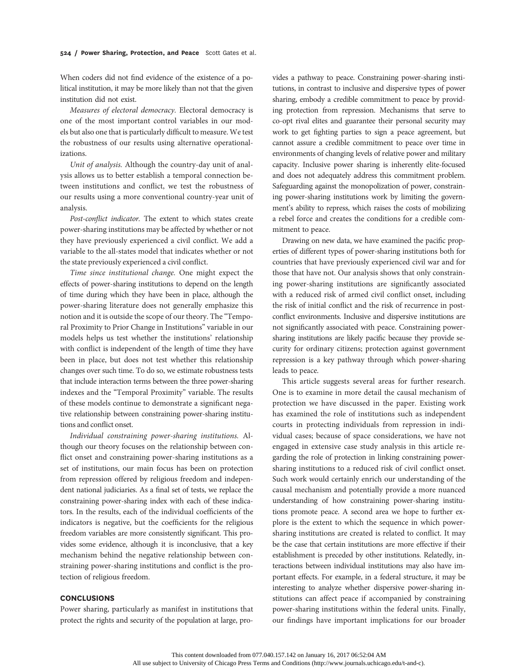When coders did not find evidence of the existence of a political institution, it may be more likely than not that the given institution did not exist.

Measures of electoral democracy. Electoral democracy is one of the most important control variables in our models but also one that is particularly difficult to measure. We test the robustness of our results using alternative operationalizations.

Unit of analysis. Although the country-day unit of analysis allows us to better establish a temporal connection between institutions and conflict, we test the robustness of our results using a more conventional country-year unit of analysis.

Post-conflict indicator. The extent to which states create power-sharing institutions may be affected by whether or not they have previously experienced a civil conflict. We add a variable to the all-states model that indicates whether or not the state previously experienced a civil conflict.

Time since institutional change. One might expect the effects of power-sharing institutions to depend on the length of time during which they have been in place, although the power-sharing literature does not generally emphasize this notion and it is outside the scope of our theory. The "Temporal Proximity to Prior Change in Institutions" variable in our models helps us test whether the institutions' relationship with conflict is independent of the length of time they have been in place, but does not test whether this relationship changes over such time. To do so, we estimate robustness tests that include interaction terms between the three power-sharing indexes and the "Temporal Proximity" variable. The results of these models continue to demonstrate a significant negative relationship between constraining power-sharing institutions and conflict onset.

Individual constraining power-sharing institutions. Although our theory focuses on the relationship between conflict onset and constraining power-sharing institutions as a set of institutions, our main focus has been on protection from repression offered by religious freedom and independent national judiciaries. As a final set of tests, we replace the constraining power-sharing index with each of these indicators. In the results, each of the individual coefficients of the indicators is negative, but the coefficients for the religious freedom variables are more consistently significant. This provides some evidence, although it is inconclusive, that a key mechanism behind the negative relationship between constraining power-sharing institutions and conflict is the protection of religious freedom.

# CONCLUSIONS

Power sharing, particularly as manifest in institutions that protect the rights and security of the population at large, pro-

vides a pathway to peace. Constraining power-sharing institutions, in contrast to inclusive and dispersive types of power sharing, embody a credible commitment to peace by providing protection from repression. Mechanisms that serve to co-opt rival elites and guarantee their personal security may work to get fighting parties to sign a peace agreement, but cannot assure a credible commitment to peace over time in environments of changing levels of relative power and military capacity. Inclusive power sharing is inherently elite-focused and does not adequately address this commitment problem. Safeguarding against the monopolization of power, constraining power-sharing institutions work by limiting the government's ability to repress, which raises the costs of mobilizing a rebel force and creates the conditions for a credible commitment to peace.

Drawing on new data, we have examined the pacific properties of different types of power-sharing institutions both for countries that have previously experienced civil war and for those that have not. Our analysis shows that only constraining power-sharing institutions are significantly associated with a reduced risk of armed civil conflict onset, including the risk of initial conflict and the risk of recurrence in postconflict environments. Inclusive and dispersive institutions are not significantly associated with peace. Constraining powersharing institutions are likely pacific because they provide security for ordinary citizens; protection against government repression is a key pathway through which power-sharing leads to peace.

This article suggests several areas for further research. One is to examine in more detail the causal mechanism of protection we have discussed in the paper. Existing work has examined the role of institutions such as independent courts in protecting individuals from repression in individual cases; because of space considerations, we have not engaged in extensive case study analysis in this article regarding the role of protection in linking constraining powersharing institutions to a reduced risk of civil conflict onset. Such work would certainly enrich our understanding of the causal mechanism and potentially provide a more nuanced understanding of how constraining power-sharing institutions promote peace. A second area we hope to further explore is the extent to which the sequence in which powersharing institutions are created is related to conflict. It may be the case that certain institutions are more effective if their establishment is preceded by other institutions. Relatedly, interactions between individual institutions may also have important effects. For example, in a federal structure, it may be interesting to analyze whether dispersive power-sharing institutions can affect peace if accompanied by constraining power-sharing institutions within the federal units. Finally, our findings have important implications for our broader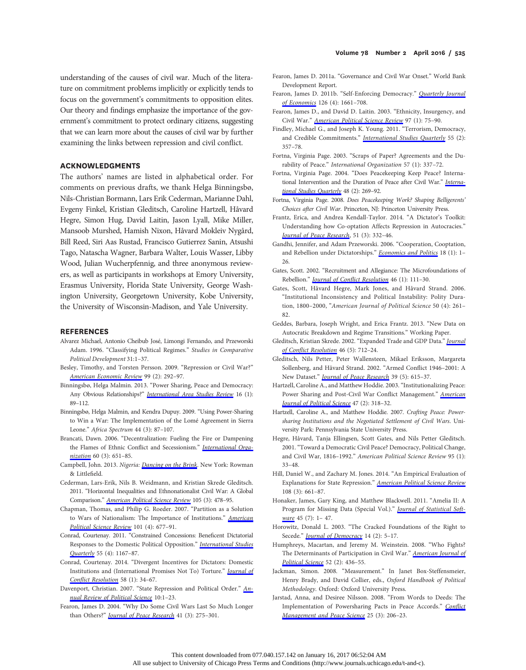understanding of the causes of civil war. Much of the literature on commitment problems implicitly or explicitly tends to focus on the government's commitments to opposition elites. Our theory and findings emphasize the importance of the government's commitment to protect ordinary citizens, suggesting that we can learn more about the causes of civil war by further examining the links between repression and civil conflict.

## ACKNOWLEDGMENTS

The authors' names are listed in alphabetical order. For comments on previous drafts, we thank Helga Binningsbø, Nils-Christian Bormann, Lars Erik Cederman, Marianne Dahl, Evgeny Finkel, Kristian Gleditsch, Caroline Hartzell, Håvard Hegre, Simon Hug, David Laitin, Jason Lyall, Mike Miller, Mansoob Murshed, Hamish Nixon, Håvard Mokleiv Nygård, Bill Reed, Siri Aas Rustad, Francisco Gutierrez Sanin, Atsushi Tago, Natascha Wagner, Barbara Walter, Louis Wasser, Libby Wood, Julian Wucherpfennig, and three anonymous reviewers, as well as participants in workshops at Emory University, Erasmus University, Florida State University, George Washington University, Georgetown University, Kobe University, the University of Wisconsin-Madison, and Yale University.

### REFERENCES

- Alvarez Michael, Antonio Cheibub José, Limongi Fernando, and Przeworski Adam. 1996. "Classifying Political Regimes." Studies in Comparative Political Development 31:1–37.
- Besley, Timothy, and Torsten Persson. 2009. "Repression or Civil War?" [American Economic Review](http://www.journals.uchicago.edu/action/showLinks?crossref=10.1257%2Faer.99.2.292) 99 (2): 292–97.
- Binningsbø, Helga Malmin. 2013. "Power Sharing, Peace and Democracy: Any Obvious Relationships?" *[International Area Studies Review](http://www.journals.uchicago.edu/action/showLinks?crossref=10.1177%2F2233865912473847)* 16 (1): 89–112.
- Binningsbø, Helga Malmin, and Kendra Dupuy. 2009. "Using Power-Sharing to Win a War: The Implementation of the Lomé Agreement in Sierra Leone." Africa Spectrum 44 (3): 87–107.
- Brancati, Dawn. 2006. "Decentralization: Fueling the Fire or Dampening the Flames of Ethnic Conflict and Secessionism." [International Orga](http://www.journals.uchicago.edu/action/showLinks?crossref=10.1017%2FS002081830606019X)[nization](http://www.journals.uchicago.edu/action/showLinks?crossref=10.1017%2FS002081830606019X) 60 (3): 651–85.
- Campbell, John. 2013. Nigeria: [Dancing on the Brink](http://www.journals.uchicago.edu/action/showLinks?crossref=10.1007%2F978-1-4614-3576-1_12). New York: Rowman & Littlefield.
- Cederman, Lars-Erik, Nils B. Weidmann, and Kristian Skrede Gleditsch. 2011. "Horizontal Inequalities and Ethnonationalist Civil War: A Global Comparison." [American Political Science Review](http://www.journals.uchicago.edu/action/showLinks?crossref=10.1017%2FS0003055411000207) 105 (3): 478–95.
- Chapman, Thomas, and Philip G. Roeder. 2007. "Partition as a Solution to Wars of Nationalism: The Importance of Institutions." [American](http://www.journals.uchicago.edu/action/showLinks?crossref=10.1017%2FS0003055407070438) [Political Science Review](http://www.journals.uchicago.edu/action/showLinks?crossref=10.1017%2FS0003055407070438) 101 (4): 677-91.
- Conrad, Courtenay. 2011. "Constrained Concessions: Beneficent Dictatorial Responses to the Domestic Political Opposition." [International Studies](http://www.journals.uchicago.edu/action/showLinks?crossref=10.1111%2Fj.1468-2478.2011.00683.x) [Quarterly](http://www.journals.uchicago.edu/action/showLinks?crossref=10.1111%2Fj.1468-2478.2011.00683.x) 55 (4): 1167–87.
- Conrad, Courtenay. 2014. "Divergent Incentives for Dictators: Domestic Institutions and (International Promises Not To) Torture." [Journal of](http://www.journals.uchicago.edu/action/showLinks?crossref=10.1177%2F0022002712459707) Confl[ict Resolution](http://www.journals.uchicago.edu/action/showLinks?crossref=10.1177%2F0022002712459707) 58 (1): 34–67.
- Davenport, Christian. 2007. "State Repression and Political Order." [An](http://www.journals.uchicago.edu/action/showLinks?crossref=10.1146%2Fannurev.polisci.10.101405.143216)[nual Review of Political Science](http://www.journals.uchicago.edu/action/showLinks?crossref=10.1146%2Fannurev.polisci.10.101405.143216) 10:1–23.
- Fearon, James D. 2004. "Why Do Some Civil Wars Last So Much Longer than Others?" *[Journal of Peace Research](http://www.journals.uchicago.edu/action/showLinks?crossref=10.1177%2F0022343304043770)* 41 (3): 275-301.
- Fearon, James D. 2011a. "Governance and Civil War Onset." World Bank Development Report.
- Fearon, James D. 2011b. "Self-Enforcing Democracy." [Quarterly Journal](http://www.journals.uchicago.edu/action/showLinks?crossref=10.1093%2Fqje%2Fqjr038) [of Economics](http://www.journals.uchicago.edu/action/showLinks?crossref=10.1093%2Fqje%2Fqjr038) 126 (4): 1661–708.
- Fearon, James D., and David D. Laitin. 2003. "Ethnicity, Insurgency, and Civil War." [American Political Science Review](http://www.journals.uchicago.edu/action/showLinks?crossref=10.1017%2FS0003055403000534) 97 (1): 75-90.
- Findley, Michael G., and Joseph K. Young. 2011. "Terrorism, Democracy, and Credible Commitments." [International Studies Quarterly](http://www.journals.uchicago.edu/action/showLinks?crossref=10.1111%2Fj.1468-2478.2011.00647.x) 55 (2): 357–78.
- Fortna, Virginia Page. 2003. "Scraps of Paper? Agreements and the Durability of Peace." International Organization 57 (1): 337–72.
- Fortna, Virginia Page. 2004. "Does Peacekeeping Keep Peace? Interna-tional Intervention and the Duration of Peace after Civil War." [Interna](http://www.journals.uchicago.edu/action/showLinks?crossref=10.1111%2Fj.0020-8833.2004.00301.x)[tional Studies Quarterly](http://www.journals.uchicago.edu/action/showLinks?crossref=10.1111%2Fj.0020-8833.2004.00301.x) 48 (2): 269-92.
- Fortna, Virginia Page. 2008. Does Peacekeeping Work? Shaping Belligerents' Choices after Civil War. Princeton, NJ: Princeton University Press.
- Frantz, Erica, and Andrea Kendall-Taylor. 2014. "A Dictator's Toolkit: Understanding how Co-optation Affects Repression in Autocracies." [Journal of Peace Research](http://www.journals.uchicago.edu/action/showLinks?crossref=10.1177%2F0022343313519808), 51 (3): 332-46.
- Gandhi, Jennifer, and Adam Przeworski. 2006. "Cooperation, Cooptation, and Rebellion under Dictatorships." [Economics and Politics](http://www.journals.uchicago.edu/action/showLinks?crossref=10.1111%2Fj.1468-0343.2006.00160.x) 18 (1): 1-26.
- Gates, Scott. 2002. "Recruitment and Allegiance: The Microfoundations of Rebellion." [Journal of Con](http://www.journals.uchicago.edu/action/showLinks?crossref=10.1177%2F0022002702046001007)flict Resolution 46 (1): 111–30.
- Gates, Scott, Håvard Hegre, Mark Jones, and Håvard Strand. 2006. "Institutional Inconsistency and Political Instability: Polity Duration, 1800–2000, "American Journal of Political Science 50 (4): 261– 82.
- Geddes, Barbara, Joseph Wright, and Erica Frantz. 2013. "New Data on Autocratic Breakdown and Regime Transitions." Working Paper.
- Gleditsch, Kristian Skrede. 2002. "Expanded Trade and GDP Data." [Journal](http://www.journals.uchicago.edu/action/showLinks?crossref=10.1177%2F0022002702046005006) of Confl[ict Resolution](http://www.journals.uchicago.edu/action/showLinks?crossref=10.1177%2F0022002702046005006) 46 (5): 712-24.
- Gleditsch, Nils Petter, Peter Wallensteen, Mikael Eriksson, Margareta Sollenberg, and Håvard Strand. 2002. "Armed Conflict 1946–2001: A New Dataset." [Journal of Peace Research](http://www.journals.uchicago.edu/action/showLinks?crossref=10.1177%2F0022343302039005007) 39 (5): 615-37.
- Hartzell, Caroline A., and Matthew Hoddie. 2003. "Institutionalizing Peace: Power Sharing and Post-Civil War Conflict Management." [American](http://www.journals.uchicago.edu/action/showLinks?crossref=10.1111%2F1540-5907.00022) [Journal of Political Science](http://www.journals.uchicago.edu/action/showLinks?crossref=10.1111%2F1540-5907.00022) 47 (2): 318-32.
- Hartzell, Caroline A., and Matthew Hoddie. 2007. Crafting Peace: Powersharing Institutions and the Negotiated Settlement of Civil Wars. University Park: Pennsylvania State University Press.
- Hegre, Håvard, Tanja Ellingsen, Scott Gates, and Nils Petter Gleditsch. 2001. "Toward a Democratic Civil Peace? Democracy, Political Change, and Civil War, 1816–1992." American Political Science Review 95 (1): 33–48.
- Hill, Daniel W., and Zachary M. Jones. 2014. "An Empirical Evaluation of Explanations for State Repression." [American Political Science Review](http://www.journals.uchicago.edu/action/showLinks?crossref=10.1017%2FS0003055414000306) 108 (3): 661–87.
- Honaker, James, Gary King, and Matthew Blackwell. 2011. "Amelia II: A Program for Missing Data (Special Vol.)." [Journal of Statistical Soft](http://www.journals.uchicago.edu/action/showLinks?crossref=10.18637%2Fjss.v045.i07)[ware](http://www.journals.uchicago.edu/action/showLinks?crossref=10.18637%2Fjss.v045.i07) 45 (7): 1– 47.
- Horowitz, Donald L. 2003. "The Cracked Foundations of the Right to Secede." *[Journal of Democracy](http://www.journals.uchicago.edu/action/showLinks?crossref=10.1353%2Fjod.2003.0033)* 14 (2): 5-17.
- Humphreys, Macartan, and Jeremy M. Weinstein. 2008. "Who Fights? The Determinants of Participation in Civil War." [American Journal of](http://www.journals.uchicago.edu/action/showLinks?crossref=10.1111%2Fj.1540-5907.2008.00322.x) [Political Science](http://www.journals.uchicago.edu/action/showLinks?crossref=10.1111%2Fj.1540-5907.2008.00322.x) 52 (2): 436-55.
- Jackman, Simon. 2008. "Measurement." In Janet Box-Steffensmeier, Henry Brady, and David Collier, eds., Oxford Handbook of Political Methodology. Oxford: Oxford University Press.
- Jarstad, Anna, and Desiree Nilsson. 2008. "From Words to Deeds: The Implementation of Powersharing Pacts in Peace Accords." [Con](http://www.journals.uchicago.edu/action/showLinks?crossref=10.1080%2F07388940802218945)flict [Management and Peace Science](http://www.journals.uchicago.edu/action/showLinks?crossref=10.1080%2F07388940802218945) 25 (3): 206-23.